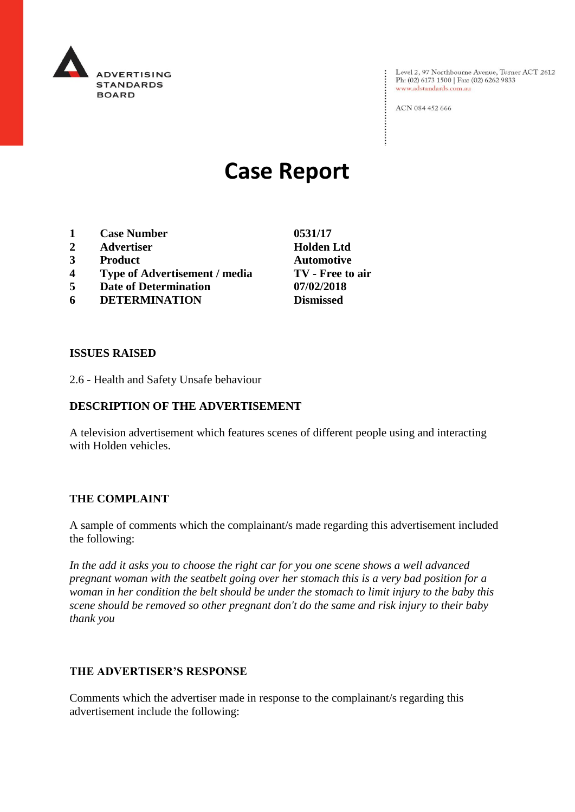

Level 2, 97 Northbourne Avenue, Turner ACT 2612<br>Ph: (02) 6173 1500 | Fax: (02) 6262 9833 www.adstandards.com.au

ACN 084 452 666

# **Case Report**

- **1 Case Number 0531/17**
- **2 Advertiser Holden Ltd**
- **3 Product Automotive**
- **4 Type of Advertisement / media TV - Free to air**
- **5 Date of Determination 07/02/2018**
- **6 DETERMINATION Dismissed**

**ISSUES RAISED**

2.6 - Health and Safety Unsafe behaviour

## **DESCRIPTION OF THE ADVERTISEMENT**

A television advertisement which features scenes of different people using and interacting with Holden vehicles.

#### **THE COMPLAINT**

A sample of comments which the complainant/s made regarding this advertisement included the following:

*In the add it asks you to choose the right car for you one scene shows a well advanced pregnant woman with the seatbelt going over her stomach this is a very bad position for a woman in her condition the belt should be under the stomach to limit injury to the baby this scene should be removed so other pregnant don't do the same and risk injury to their baby thank you*

### **THE ADVERTISER'S RESPONSE**

Comments which the advertiser made in response to the complainant/s regarding this advertisement include the following: